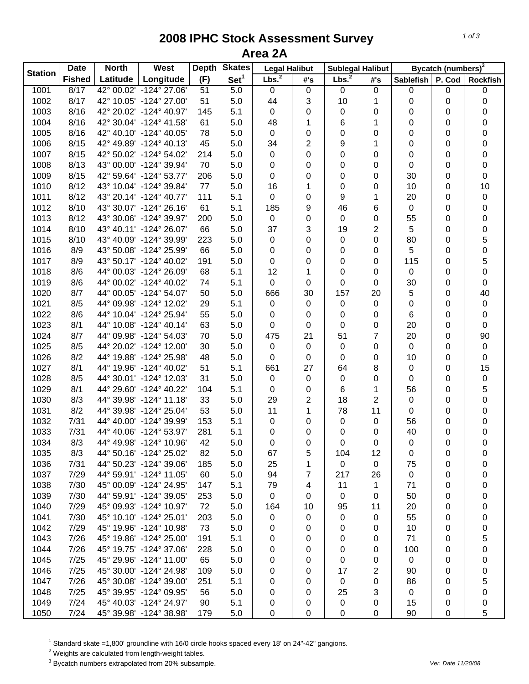## **2008 IPHC Stock Assessment Survey Area 2A**

| <b>Station</b> | <b>Date</b>   | <b>North</b> | <b>West</b>             | <b>Depth</b> | <b>Skates</b>    | <b>Legal Halibut</b> |           | <b>Sublegal Halibut</b> |                | Bycatch (numbers) <sup>3</sup> |        |                 |  |
|----------------|---------------|--------------|-------------------------|--------------|------------------|----------------------|-----------|-------------------------|----------------|--------------------------------|--------|-----------------|--|
|                | <b>Fished</b> | Latitude     | Longitude               | (F)          | Set <sup>1</sup> | Lbs. <sup>2</sup>    | #'s       | Lbs. <sup>2</sup>       | #'s            | <b>Sablefish</b>               | P. Cod | <b>Rockfish</b> |  |
| 1001           | 8/17          |              | 42° 00.02' -124° 27.06' | 51           | 5.0              | $\mathbf 0$          | $\pmb{0}$ | $\mathbf 0$             | $\mathbf 0$    | 0                              | 0      | $\pmb{0}$       |  |
| 1002           | 8/17          |              | 42° 10.05' -124° 27.00' | 51           | 5.0              | 44                   | 3         | 10                      | 1              | 0                              | 0      | 0               |  |
| 1003           | 8/16          |              | 42° 20.02' -124° 40.97' | 145          | 5.1              | $\mathbf 0$          | 0         | 0                       | 0              | 0                              | 0      | 0               |  |
| 1004           | 8/16          |              | 42° 30.04' -124° 41.58' | 61           | 5.0              | 48                   | 1         | 6                       | 1              | 0                              | 0      | 0               |  |
| 1005           | 8/16          |              | 42° 40.10' -124° 40.05' | 78           | 5.0              | $\pmb{0}$            | 0         | 0                       | 0              | 0                              | 0      | 0               |  |
| 1006           | 8/15          |              | 42° 49.89' -124° 40.13' | 45           | 5.0              | 34                   | 2         | 9                       | 1              | 0                              | 0      | 0               |  |
| 1007           | 8/15          |              | 42° 50.02' -124° 54.02' | 214          | 5.0              | $\pmb{0}$            | 0         | 0                       | 0              | 0                              | 0      | 0               |  |
| 1008           | 8/13          |              | 43° 00.00' -124° 39.94' | 70           | 5.0              | $\pmb{0}$            | 0         | 0                       | 0              | 0                              | 0      | 0               |  |
| 1009           | 8/15          |              | 42° 59.64' -124° 53.77' | 206          | 5.0              | $\mathbf 0$          | 0         | 0                       | 0              | 30                             | 0      | 0               |  |
| 1010           | 8/12          |              | 43° 10.04' -124° 39.84' | 77           | 5.0              | 16                   | 1         | 0                       | 0              | 10                             | 0      | 10              |  |
| 1011           | 8/12          |              | 43° 20.14' -124° 40.77' | 111          | 5.1              | 0                    | 0         | 9                       | 1              | 20                             | 0      | 0               |  |
| 1012           | 8/10          |              | 43° 30.07' -124° 26.16' | 61           | 5.1              | 185                  | 9         | 46                      | 6              | 0                              | 0      | 0               |  |
| 1013           | 8/12          |              | 43° 30.06' -124° 39.97' | 200          | 5.0              | 0                    | 0         | 0                       | 0              | 55                             | 0      | 0               |  |
| 1014           | 8/10          |              | 43° 40.11' -124° 26.07' | 66           | 5.0              | 37                   | 3         | 19                      | 2              | 5                              | 0      | $\mathbf 0$     |  |
| 1015           | 8/10          |              | 43° 40.09' -124° 39.99' | 223          | 5.0              | $\mathbf 0$          | 0         | 0                       | 0              | 80                             | 0      | $\mathbf 5$     |  |
| 1016           | 8/9           |              | 43° 50.08' -124° 25.99' | 66           | 5.0              | 0                    | 0         | 0                       | 0              | 5                              | 0      | $\mathsf 0$     |  |
| 1017           | 8/9           |              | 43° 50.17' -124° 40.02' | 191          | 5.0              | 0                    | 0         | 0                       | 0              | 115                            | 0      | 5               |  |
| 1018           | 8/6           |              | 44° 00.03' -124° 26.09' | 68           | 5.1              | 12                   | 1         | 0                       | 0              | 0                              | 0      | 0               |  |
| 1019           | 8/6           |              | 44° 00.02' -124° 40.02' | 74           | 5.1              | $\mathbf 0$          | 0         | 0                       | 0              | 30                             | 0      | 0               |  |
| 1020           | 8/7           |              | 44° 00.05' -124° 54.07' | 50           | 5.0              | 666                  | 30        | 157                     | 20             | 5                              | 0      | 40              |  |
| 1021           | 8/5           |              | 44° 09.98' -124° 12.02' | 29           | 5.1              | $\pmb{0}$            | 0         | $\pmb{0}$               | 0              | 0                              | 0      | $\pmb{0}$       |  |
| 1022           | 8/6           |              | 44° 10.04' -124° 25.94' | 55           | 5.0              | 0                    | 0         | 0                       | 0              | 6                              | 0      | 0               |  |
| 1023           | 8/1           |              | 44° 10.08' -124° 40.14' | 63           | 5.0              | 0                    | 0         | 0                       | 0              | 20                             | 0      | 0               |  |
| 1024           | 8/7           |              | 44° 09.98' -124° 54.03' | 70           | 5.0              | 475                  | 21        | 51                      | $\overline{7}$ | 20                             | 0      | 90              |  |
| 1025           | 8/5           |              | 44° 20.02' -124° 12.00' | 30           | 5.0              | $\mathbf 0$          | 0         | $\pmb{0}$               | $\pmb{0}$      | $\pmb{0}$                      |        | $\pmb{0}$       |  |
|                | 8/2           |              |                         |              |                  | $\mathbf 0$          |           |                         |                |                                | 0      | $\pmb{0}$       |  |
| 1026           |               |              | 44° 19.88' -124° 25.98' | 48           | 5.0              |                      | 0         | $\pmb{0}$               | $\pmb{0}$      | 10                             | 0      |                 |  |
| 1027           | 8/1           |              | 44° 19.96' -124° 40.02' | 51           | 5.1              | 661                  | 27        | 64                      | 8              | 0                              | 0      | 15              |  |
| 1028           | 8/5           |              | 44° 30.01' -124° 12.03' | 31           | 5.0              | 0                    | 0         | $\mathbf 0$             | 0              | 0                              | 0      | $\pmb{0}$       |  |
| 1029           | 8/1           |              | 44° 29.60' -124° 40.22' | 104          | 5.1              | 0                    | 0         | 6                       | 1              | 56                             | 0      | $\,$ 5 $\,$     |  |
| 1030           | 8/3           |              | 44° 39.98' -124° 11.18' | 33           | 5.0              | 29                   | 2         | 18                      | $\overline{2}$ | 0                              | 0      | $\mathsf 0$     |  |
| 1031           | 8/2           |              | 44° 39.98' -124° 25.04' | 53           | 5.0              | 11                   | 1         | 78                      | 11             | 0                              | 0      | 0               |  |
| 1032           | 7/31          |              | 44° 40.00' -124° 39.99' | 153          | 5.1              | $\mathbf 0$          | 0         | $\mathbf 0$             | 0              | 56                             | 0      | 0               |  |
| 1033           | 7/31          |              | 44° 40.06' -124° 53.97' | 281          | 5.1              | 0                    | 0         | 0                       | 0              | 40                             | 0      | 0               |  |
| 1034           | 8/3           |              | 44° 49.98' -124° 10.96' | 42           | 5.0              | 0                    | 0         | 0                       | 0              | 0                              | 0      | $\mathsf 0$     |  |
| 1035           | 8/3           |              | 44° 50.16' -124° 25.02' | 82           | 5.0              | 67                   | 5         | 104                     | 12             | 0                              | 0      | 0               |  |
| 1036           | 7/31          |              | 44° 50.23' -124° 39.06' | 185          | 5.0              | 25                   | 1         | $\mathbf 0$             | 0              | 75                             | 0      | 0               |  |
| 1037           | 7/29          |              | 44° 59.91' -124° 11.05' | 60           | 5.0              | 94                   | 7         | 217                     | 26             | 0                              | 0      | 0               |  |
| 1038           | 7/30          |              | 45° 00.09' -124° 24.95' | 147          | 5.1              | 79                   | 4         | 11                      | $\mathbf 1$    | 71                             | 0      | 0               |  |
| 1039           | 7/30          |              | 44° 59.91' -124° 39.05' | 253          | 5.0              | 0                    | 0         | $\mathbf 0$             | 0              | 50                             | 0      | 0               |  |
| 1040           | 7/29          |              | 45° 09.93' -124° 10.97' | 72           | 5.0              | 164                  | 10        | 95                      | 11             | 20                             | 0      | 0               |  |
| 1041           | 7/30          |              | 45° 10.10' -124° 25.01' | 203          | 5.0              | 0                    | 0         | 0                       | 0              | 55                             | 0      | 0               |  |
| 1042           | 7/29          |              | 45° 19.96' -124° 10.98' | 73           | 5.0              | 0                    | 0         | 0                       | 0              | 10                             | 0      | 0               |  |
| 1043           | 7/26          |              | 45° 19.86' -124° 25.00' | 191          | 5.1              | 0                    | 0         | 0                       | 0              | 71                             | 0      | 5               |  |
| 1044           | 7/26          |              | 45° 19.75' -124° 37.06' | 228          | 5.0              | 0                    | 0         | 0                       | 0              | 100                            | 0      | 0               |  |
| 1045           | 7/25          |              | 45° 29.96' -124° 11.00' | 65           | 5.0              | 0                    | 0         | 0                       | 0              | 0                              | 0      | 0               |  |
| 1046           | 7/25          |              | 45° 30.00' -124° 24.98' | 109          | 5.0              | 0                    | 0         | 17                      | 2              | 90                             | 0      | 0               |  |
| 1047           | 7/26          |              | 45° 30.08' -124° 39.00' | 251          | 5.1              | 0                    | 0         | 0                       | 0              | 86                             | 0      | 5               |  |
| 1048           | 7/25          |              | 45° 39.95' -124° 09.95' | 56           | 5.0              | 0                    | 0         | 25                      | 3              | 0                              | 0      | 0               |  |
| 1049           | 7/24          |              | 45° 40.03' -124° 24.97' | 90           | 5.1              | 0                    | 0         | 0                       | 0              | 15                             | 0      | 0               |  |
| 1050           | 7/24          |              | 45° 39.98' -124° 38.98' | 179          | 5.0              | 0                    | $\pmb{0}$ | $\mathbf 0$             | 0              | 90                             | 0      | 5               |  |

<sup>1</sup> Standard skate =1,800' groundline with 16/0 circle hooks spaced every 18' on 24"-42" gangions.<br><sup>2</sup> Weights are calculated from length-weight tables.<br><sup>3</sup> Bycatch numbers extrapolated from 20% subsample.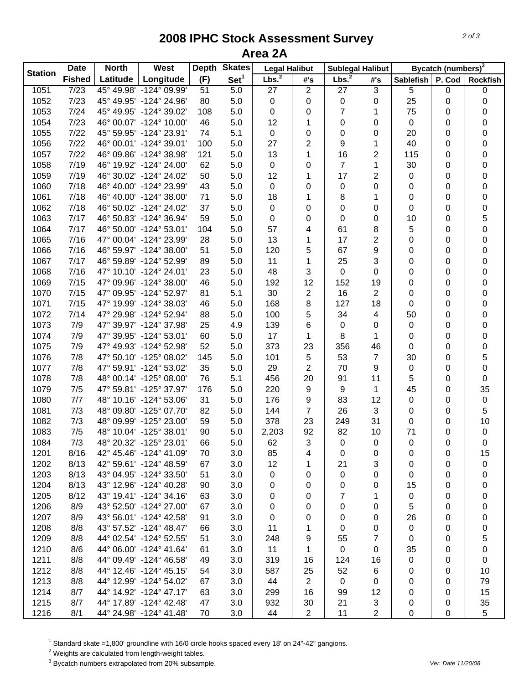## **2008 IPHC Stock Assessment Survey Area 2A**

| <b>Station</b> | <b>Date</b>   | West<br><b>North</b> |                         | <b>Depth</b> | <b>Skates</b>    | <b>Legal Halibut</b> |                | <b>Sublegal Halibut</b> |                | Bycatch (numbers) <sup>3</sup> |             |                  |  |
|----------------|---------------|----------------------|-------------------------|--------------|------------------|----------------------|----------------|-------------------------|----------------|--------------------------------|-------------|------------------|--|
|                | <b>Fished</b> | Latitude             | Longitude               | (F)          | Set <sup>1</sup> | Lbs. <sup>2</sup>    | #'s            | Lbs. <sup>2</sup>       | #'s            | <b>Sablefish</b>               | P. Cod      | <b>Rockfish</b>  |  |
| 1051           | 7/23          |                      | 45° 49.98' -124° 09.99' | 51           | 5.0              | 27                   | $\overline{c}$ | 27                      | $\overline{3}$ | 5                              | 0           | 0                |  |
| 1052           | 7/23          |                      | 45° 49.95' -124° 24.96' | 80           | 5.0              | 0                    | 0              | 0                       | 0              | 25                             | 0           | 0                |  |
| 1053           | 7/24          |                      | 45° 49.95' -124° 39.02' | 108          | 5.0              | 0                    | 0              | 7                       | 1              | 75                             | 0           | 0                |  |
| 1054           | 7/23          |                      | 46° 00.07' -124° 10.00' | 46           | 5.0              | 12                   | 1              | 0                       | 0              | 0                              | 0           | 0                |  |
| 1055           | 7/22          |                      | 45° 59.95' -124° 23.91' | 74           | 5.1              | 0                    | 0              | 0                       | 0              | 20                             | 0           | $\mathbf 0$      |  |
| 1056           | 7/22          |                      | 46° 00.01' -124° 39.01' | 100          | 5.0              | 27                   | $\overline{2}$ | 9                       | 1              | 40                             | 0           | 0                |  |
| 1057           | 7/22          |                      | 46° 09.86' -124° 38.98' | 121          | 5.0              | 13                   | 1              | 16                      | 2              | 115                            | 0           | 0                |  |
| 1058           | 7/19          |                      | 46° 19.92' -124° 24.00' | 62           | 5.0              | 0                    | 0              | $\overline{7}$          | 1              | 30                             | 0           | 0                |  |
| 1059           | 7/19          |                      | 46° 30.02' -124° 24.02' | 50           | 5.0              | 12                   | 1              | 17                      | $\overline{2}$ | 0                              | 0           | 0                |  |
| 1060           | 7/18          |                      | 46° 40.00' -124° 23.99' | 43           | 5.0              | 0                    | 0              | 0                       | 0              | 0                              | 0           | 0                |  |
| 1061           | 7/18          |                      | 46° 40.00' -124° 38.00' | 71           | 5.0              | 18                   | 1              | 8                       | 1              | 0                              | $\mathbf 0$ | 0                |  |
| 1062           | 7/18          |                      | 46° 50.02' -124° 24.02' | 37           | 5.0              | 0                    | 0              | $\mathbf 0$             | 0              | 0                              | 0           | 0                |  |
| 1063           | 7/17          |                      | 46° 50.83' -124° 36.94' | 59           | 5.0              | 0                    | 0              | 0                       | 0              | 10                             | 0           | $\mathbf 5$      |  |
| 1064           | 7/17          |                      | 46° 50.00' -124° 53.01' | 104          | 5.0              | 57                   | 4              | 61                      | 8              | 5                              | 0           | $\mathsf 0$      |  |
| 1065           | 7/16          |                      | 47° 00.04' -124° 23.99' | 28           | 5.0              | 13                   | 1              | 17                      | $\overline{c}$ | 0                              | 0           | 0                |  |
| 1066           | 7/16          |                      | 46° 59.97' -124° 38.00' | 51           | 5.0              | 120                  | 5              | 67                      | 9              | 0                              | 0           | 0                |  |
| 1067           | 7/17          |                      | 46° 59.89' -124° 52.99' | 89           | 5.0              | 11                   | 1              | 25                      | 3              | 0                              | 0           | 0                |  |
| 1068           | 7/16          |                      | 47° 10.10' -124° 24.01' | 23           | 5.0              | 48                   | 3              | 0                       | 0              | 0                              | 0           | 0                |  |
| 1069           | 7/15          |                      | 47° 09.96' -124° 38.00' | 46           | 5.0              | 192                  | 12             | 152                     | 19             | 0                              | 0           | 0                |  |
| 1070           | 7/15          |                      | 47° 09.95' -124° 52.97' | 81           | 5.1              | 30                   | $\mathbf{2}$   | 16                      | $\overline{2}$ | 0                              | 0           | 0                |  |
| 1071           | 7/15          |                      | 47° 19.99' -124° 38.03' | 46           | 5.0              | 168                  | 8              | 127                     | 18             | 0                              | 0           | $\boldsymbol{0}$ |  |
| 1072           | 7/14          |                      | 47° 29.98' -124° 52.94' | 88           | 5.0              | 100                  | 5              | 34                      | 4              | 50                             | 0           | 0                |  |
| 1073           | 7/9           |                      | 47° 39.97' -124° 37.98' | 25           | 4.9              | 139                  | 6              | 0                       | 0              | 0                              | 0           | 0                |  |
| 1074           | 7/9           |                      | 47° 39.95' -124° 53.01' | 60           | 5.0              | 17                   | 1              | 8                       | 1              | 0                              | 0           | 0                |  |
| 1075           | 7/9           |                      | 47° 49.93' -124° 52.98' | 52           | 5.0              | 373                  | 23             | 356                     | 46             | 0                              | $\pmb{0}$   | 0                |  |
| 1076           | 7/8           |                      | 47° 50.10' -125° 08.02' | 145          | 5.0              | 101                  | 5              | 53                      | $\overline{7}$ | 30                             | 0           | 5                |  |
| 1077           | 7/8           |                      | 47° 59.91' -124° 53.02' | 35           | 5.0              | 29                   | $\overline{2}$ | 70                      | 9              | 0                              | $\mathbf 0$ | $\mathsf 0$      |  |
| 1078           | 7/8           |                      | 48° 00.14' -125° 08.00' | 76           | 5.1              | 456                  | 20             | 91                      | 11             | 5                              | $\mathbf 0$ | 0                |  |
| 1079           | 7/5           |                      | 47° 59.81' -125° 37.97' | 176          | 5.0              | 220                  | 9              | 9                       | 1              | 45                             | 0           | 35               |  |
| 1080           | 7/7           |                      | 48° 10.16' -124° 53.06' | 31           | 5.0              | 176                  | 9              | 83                      | 12             | 0                              | 0           | $\pmb{0}$        |  |
| 1081           | 7/3           |                      | 48° 09.80' -125° 07.70' | 82           | 5.0              | 144                  | $\overline{7}$ | 26                      | 3              | 0                              | 0           | $\sqrt{5}$       |  |
| 1082           | 7/3           |                      | 48° 09.99' -125° 23.00' | 59           | 5.0              | 378                  | 23             | 249                     | 31             | 0                              | 0           | 10               |  |
| 1083           | 7/5           |                      | 48° 10.04' -125° 38.01' | 90           | 5.0              | 2,203                | 92             | 82                      | 10             | 71                             | 0           | $\pmb{0}$        |  |
| 1084           | 7/3           |                      | 48° 20.32' -125° 23.01' | 66           | 5.0              | 62                   | 3              | $\pmb{0}$               | 0              | 0                              | 0           | $\mathsf 0$      |  |
| 1201           | 8/16          |                      | 42° 45.46' -124° 41.09' | 70           | 3.0              | 85                   | 4              | 0                       | 0              | 0                              | 0           | 15               |  |
| 1202           | 8/13          |                      | 42° 59.61' -124° 48.59' | 67           | 3.0              | 12                   | 1              | 21                      | 3              | 0                              | 0           | 0                |  |
| 1203           | 8/13          |                      | 43° 04.95' -124° 33.50' | 51           | 3.0              | 0                    | 0              | 0                       | 0              | 0                              | 0           | 0                |  |
| 1204           | 8/13          |                      | 43° 12.96' -124° 40.28' | 90           | 3.0              | 0                    | 0              | 0                       | 0              | 15                             | 0           | 0                |  |
| 1205           | 8/12          |                      | 43° 19.41' -124° 34.16' | 63           | 3.0              | 0                    | 0              | 7                       | 1              | 0                              | 0           | 0                |  |
| 1206           | 8/9           |                      | 43° 52.50' -124° 27.00' | 67           | 3.0              |                      |                | 0                       |                | 5                              |             | 0                |  |
|                | 8/9           |                      | 43° 56.01' -124° 42.58' |              |                  | 0                    | 0              |                         | 0              |                                | 0           |                  |  |
| 1207           |               |                      |                         | 91           | 3.0              | 0                    | 0              | 0                       | 0              | 26                             | 0           | 0                |  |
| 1208           | 8/8           |                      | 43° 57.52' -124° 48.47' | 66           | 3.0              | 11                   | 1              | 0                       | 0              | 0                              | 0           | 0                |  |
| 1209           | 8/8           |                      | 44° 02.54' -124° 52.55' | 51           | 3.0              | 248                  | 9              | 55                      | 7              | 0                              | 0           | 5                |  |
| 1210           | 8/6           |                      | 44° 06.00' -124° 41.64' | 61           | 3.0              | 11                   | 1              | 0                       | 0              | 35                             | 0           | 0                |  |
| 1211           | 8/8           |                      | 44° 09.49' -124° 46.58' | 49           | 3.0              | 319                  | 16             | 124                     | 16             | 0                              | 0           | 0                |  |
| 1212           | 8/8           |                      | 44° 12.46' -124° 45.15' | 54           | 3.0              | 587                  | 25             | 52                      | 6              | 0                              | 0           | 10               |  |
| 1213           | 8/8           |                      | 44° 12.99' -124° 54.02' | 67           | 3.0              | 44                   | $\overline{2}$ | 0                       | 0              | 0                              | 0           | 79               |  |
| 1214           | 8/7           |                      | 44° 14.92' -124° 47.17' | 63           | 3.0              | 299                  | 16             | 99                      | 12             | 0                              | 0           | 15               |  |
| 1215           | 8/7           |                      | 44° 17.89' -124° 42.48' | 47           | 3.0              | 932                  | 30             | 21                      | 3              | 0                              | 0           | 35               |  |
| 1216           | 8/1           |                      | 44° 24.98' -124° 41.48' | 70           | 3.0              | 44                   | $\overline{2}$ | 11                      | 2              | 0                              | 0           | 5                |  |

 $^1$  Standard skate =1,800' groundline with 16/0 circle hooks spaced every 18' on 24"-42" gangions.<br><sup>2</sup> Weights are calculated from length-weight tables.

3 Bycatch numbers extrapolated from 20% subsample. *Ver. Date 11/20/08*